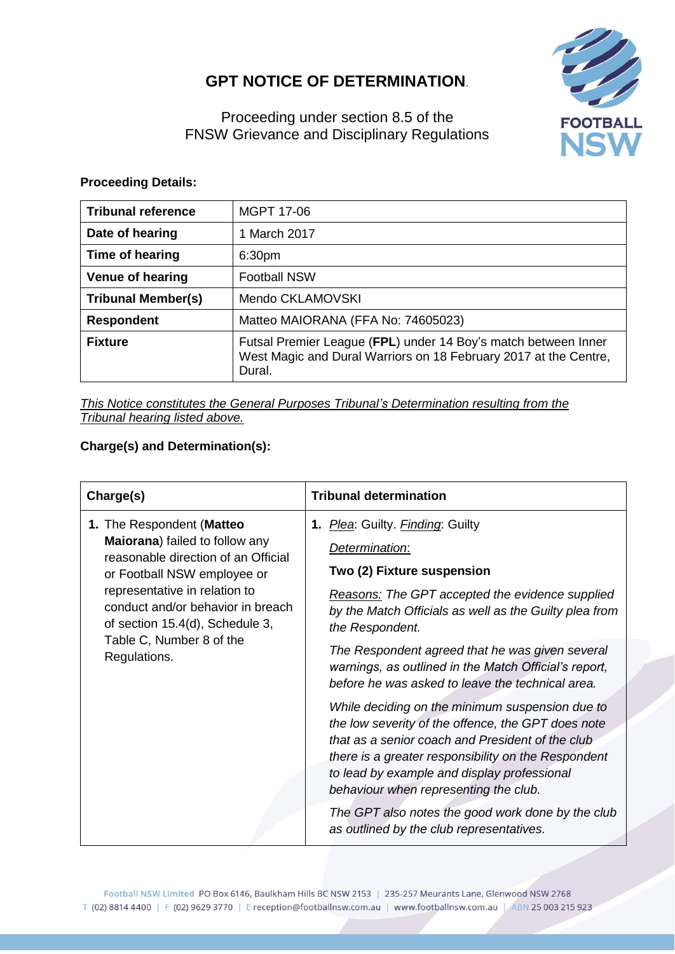## **GPT NOTICE OF DETERMINATION**.



Proceeding under section 8.5 of the FNSW Grievance and Disciplinary Regulations

## **Proceeding Details:**

| <b>Tribunal reference</b> | <b>MGPT 17-06</b>                                                                                                                            |  |
|---------------------------|----------------------------------------------------------------------------------------------------------------------------------------------|--|
| Date of hearing           | 1 March 2017                                                                                                                                 |  |
| Time of hearing           | 6:30 <sub>pm</sub>                                                                                                                           |  |
| <b>Venue of hearing</b>   | <b>Football NSW</b>                                                                                                                          |  |
| <b>Tribunal Member(s)</b> | Mendo CKLAMOVSKI                                                                                                                             |  |
| <b>Respondent</b>         | Matteo MAIORANA (FFA No: 74605023)                                                                                                           |  |
| <b>Fixture</b>            | Futsal Premier League (FPL) under 14 Boy's match between Inner<br>West Magic and Dural Warriors on 18 February 2017 at the Centre,<br>Dural. |  |

*This Notice constitutes the General Purposes Tribunal's Determination resulting from the Tribunal hearing listed above.*

## **Charge(s) and Determination(s):**

| Charge(s)                                                                                                                                                                                                                                                                              | <b>Tribunal determination</b>                                                                                                                                                                                                                                                                            |
|----------------------------------------------------------------------------------------------------------------------------------------------------------------------------------------------------------------------------------------------------------------------------------------|----------------------------------------------------------------------------------------------------------------------------------------------------------------------------------------------------------------------------------------------------------------------------------------------------------|
| 1. The Respondent (Matteo<br>Maiorana) failed to follow any<br>reasonable direction of an Official<br>or Football NSW employee or<br>representative in relation to<br>conduct and/or behavior in breach<br>of section 15.4(d), Schedule 3,<br>Table C, Number 8 of the<br>Regulations. | 1. Plea: Guilty. Finding: Guilty<br>Determination:<br>Two (2) Fixture suspension<br><b>Reasons:</b> The GPT accepted the evidence supplied<br>by the Match Officials as well as the Guilty plea from<br>the Respondent.                                                                                  |
|                                                                                                                                                                                                                                                                                        | The Respondent agreed that he was given several<br>warnings, as outlined in the Match Official's report,<br>before he was asked to leave the technical area.                                                                                                                                             |
|                                                                                                                                                                                                                                                                                        | While deciding on the minimum suspension due to<br>the low severity of the offence, the GPT does note<br>that as a senior coach and President of the club<br>there is a greater responsibility on the Respondent<br>to lead by example and display professional<br>behaviour when representing the club. |
|                                                                                                                                                                                                                                                                                        | The GPT also notes the good work done by the club<br>as outlined by the club representatives.                                                                                                                                                                                                            |